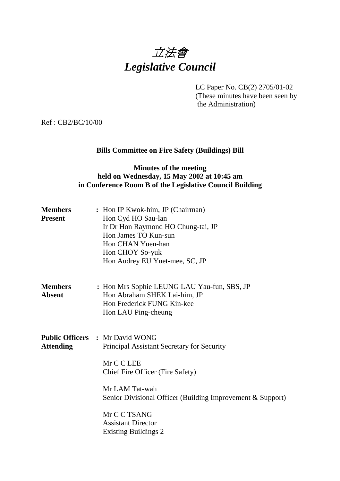

LC Paper No. CB(2) 2705/01-02 (These minutes have been seen by the Administration)

Ref : CB2/BC/10/00

# **Bills Committee on Fire Safety (Buildings) Bill**

### **Minutes of the meeting held on Wednesday, 15 May 2002 at 10:45 am in Conference Room B of the Legislative Council Building**

| <b>Members</b><br><b>Present</b> | : Hon IP Kwok-him, JP (Chairman)<br>Hon Cyd HO Sau-lan<br>Ir Dr Hon Raymond HO Chung-tai, JP<br>Hon James TO Kun-sun<br>Hon CHAN Yuen-han<br>Hon CHOY So-yuk<br>Hon Audrey EU Yuet-mee, SC, JP                                                                                                     |
|----------------------------------|----------------------------------------------------------------------------------------------------------------------------------------------------------------------------------------------------------------------------------------------------------------------------------------------------|
| <b>Members</b><br><b>Absent</b>  | : Hon Mrs Sophie LEUNG LAU Yau-fun, SBS, JP<br>Hon Abraham SHEK Lai-him, JP<br>Hon Frederick FUNG Kin-kee<br>Hon LAU Ping-cheung                                                                                                                                                                   |
| <b>Attending</b>                 | <b>Public Officers : Mr David WONG</b><br>Principal Assistant Secretary for Security<br>Mr C C LEE<br>Chief Fire Officer (Fire Safety)<br>Mr LAM Tat-wah<br>Senior Divisional Officer (Building Improvement & Support)<br>Mr C C TSANG<br><b>Assistant Director</b><br><b>Existing Buildings 2</b> |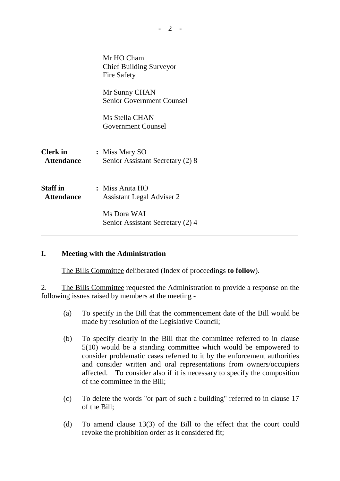|                                      | Mr HO Cham<br><b>Chief Building Surveyor</b><br><b>Fire Safety</b> |  |
|--------------------------------------|--------------------------------------------------------------------|--|
|                                      | Mr Sunny CHAN<br><b>Senior Government Counsel</b>                  |  |
|                                      | Ms Stella CHAN<br><b>Government Counsel</b>                        |  |
| <b>Clerk</b> in<br><b>Attendance</b> | : Miss Mary SO<br>Senior Assistant Secretary (2) 8                 |  |
| <b>Staff</b> in<br><b>Attendance</b> | : Miss Anita HO<br><b>Assistant Legal Adviser 2</b>                |  |
|                                      | Ms Dora WAI<br>Senior Assistant Secretary (2) 4                    |  |

#### **I. Meeting with the Administration**

The Bills Committee deliberated (Index of proceedings **to follow**).

2. The Bills Committee requested the Administration to provide a response on the following issues raised by members at the meeting -

- (a) To specify in the Bill that the commencement date of the Bill would be made by resolution of the Legislative Council;
- (b) To specify clearly in the Bill that the committee referred to in clause 5(10) would be a standing committee which would be empowered to consider problematic cases referred to it by the enforcement authorities and consider written and oral representations from owners/occupiers affected. To consider also if it is necessary to specify the composition of the committee in the Bill;
- (c) To delete the words "or part of such a building" referred to in clause 17 of the Bill;
- (d) To amend clause 13(3) of the Bill to the effect that the court could revoke the prohibition order as it considered fit;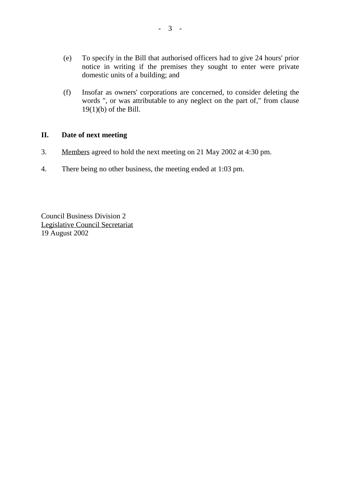- (e) To specify in the Bill that authorised officers had to give 24 hours' prior notice in writing if the premises they sought to enter were private domestic units of a building; and
- (f) Insofar as owners' corporations are concerned, to consider deleting the words ", or was attributable to any neglect on the part of," from clause 19(1)(b) of the Bill.

#### **II. Date of next meeting**

- 3. Members agreed to hold the next meeting on 21 May 2002 at 4:30 pm.
- 4. There being no other business, the meeting ended at 1:03 pm.

Council Business Division 2 Legislative Council Secretariat 19 August 2002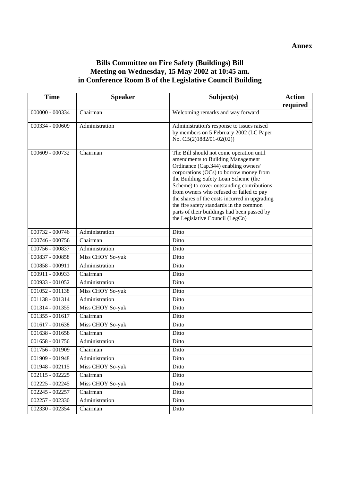### **Bills Committee on Fire Safety (Buildings) Bill Meeting on Wednesday, 15 May 2002 at 10:45 am. in Conference Room B of the Legislative Council Building**

| <b>Time</b>       | <b>Speaker</b>   | Subject(s)                                                                                                                                                                                                                                                                                                                                                                                                                                                                       | <b>Action</b> |
|-------------------|------------------|----------------------------------------------------------------------------------------------------------------------------------------------------------------------------------------------------------------------------------------------------------------------------------------------------------------------------------------------------------------------------------------------------------------------------------------------------------------------------------|---------------|
|                   |                  |                                                                                                                                                                                                                                                                                                                                                                                                                                                                                  | required      |
| 000000 - 000334   | Chairman         | Welcoming remarks and way forward                                                                                                                                                                                                                                                                                                                                                                                                                                                |               |
| 000334 - 000609   | Administration   | Administration's response to issues raised<br>by members on 5 February 2002 (LC Paper<br>No. CB(2)1882/01-02(02))                                                                                                                                                                                                                                                                                                                                                                |               |
|                   |                  |                                                                                                                                                                                                                                                                                                                                                                                                                                                                                  |               |
| 000609 - 000732   | Chairman         | The Bill should not come operation until<br>amendments to Building Management<br>Ordinance (Cap.344) enabling owners'<br>corporations (OCs) to borrow money from<br>the Building Safety Loan Scheme (the<br>Scheme) to cover outstanding contributions<br>from owners who refused or failed to pay<br>the shares of the costs incurred in upgrading<br>the fire safety standards in the common<br>parts of their buildings had been passed by<br>the Legislative Council (LegCo) |               |
| 000732 - 000746   | Administration   | Ditto                                                                                                                                                                                                                                                                                                                                                                                                                                                                            |               |
| 000746 - 000756   | Chairman         | Ditto                                                                                                                                                                                                                                                                                                                                                                                                                                                                            |               |
| 000756 - 000837   | Administration   | Ditto                                                                                                                                                                                                                                                                                                                                                                                                                                                                            |               |
| 000837 - 000858   | Miss CHOY So-yuk | Ditto                                                                                                                                                                                                                                                                                                                                                                                                                                                                            |               |
| 000858 - 000911   | Administration   | Ditto                                                                                                                                                                                                                                                                                                                                                                                                                                                                            |               |
| 000911 - 000933   | Chairman         | Ditto                                                                                                                                                                                                                                                                                                                                                                                                                                                                            |               |
| 000933 - 001052   | Administration   | Ditto                                                                                                                                                                                                                                                                                                                                                                                                                                                                            |               |
| 001052 - 001138   | Miss CHOY So-yuk | Ditto                                                                                                                                                                                                                                                                                                                                                                                                                                                                            |               |
| 001138 - 001314   | Administration   | Ditto                                                                                                                                                                                                                                                                                                                                                                                                                                                                            |               |
| 001314 - 001355   | Miss CHOY So-yuk | Ditto                                                                                                                                                                                                                                                                                                                                                                                                                                                                            |               |
| $001355 - 001617$ | Chairman         | Ditto                                                                                                                                                                                                                                                                                                                                                                                                                                                                            |               |
| 001617 - 001638   | Miss CHOY So-yuk | Ditto                                                                                                                                                                                                                                                                                                                                                                                                                                                                            |               |
| 001638 - 001658   | Chairman         | Ditto                                                                                                                                                                                                                                                                                                                                                                                                                                                                            |               |
| 001658 - 001756   | Administration   | Ditto                                                                                                                                                                                                                                                                                                                                                                                                                                                                            |               |
| 001756 - 001909   | Chairman         | Ditto                                                                                                                                                                                                                                                                                                                                                                                                                                                                            |               |
| 001909 - 001948   | Administration   | Ditto                                                                                                                                                                                                                                                                                                                                                                                                                                                                            |               |
| 001948 - 002115   | Miss CHOY So-yuk | Ditto                                                                                                                                                                                                                                                                                                                                                                                                                                                                            |               |
| 002115 - 002225   | Chairman         | Ditto                                                                                                                                                                                                                                                                                                                                                                                                                                                                            |               |
| 002225 - 002245   | Miss CHOY So-yuk | Ditto                                                                                                                                                                                                                                                                                                                                                                                                                                                                            |               |
| 002245 - 002257   | Chairman         | Ditto                                                                                                                                                                                                                                                                                                                                                                                                                                                                            |               |
| 002257 - 002330   | Administration   | Ditto                                                                                                                                                                                                                                                                                                                                                                                                                                                                            |               |
| 002330 - 002354   | Chairman         | Ditto                                                                                                                                                                                                                                                                                                                                                                                                                                                                            |               |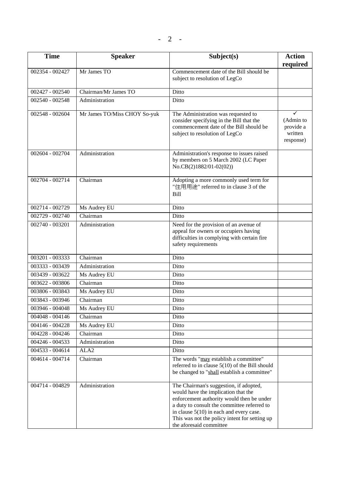| <b>Time</b>       | <b>Speaker</b>               | Subject(s)                                                                                                                                                                                                                                                                                         | <b>Action</b><br>required                           |
|-------------------|------------------------------|----------------------------------------------------------------------------------------------------------------------------------------------------------------------------------------------------------------------------------------------------------------------------------------------------|-----------------------------------------------------|
| 002354 - 002427   | Mr James TO                  | Commencement date of the Bill should be<br>subject to resolution of LegCo                                                                                                                                                                                                                          |                                                     |
| 002427 - 002540   | Chairman/Mr James TO         | Ditto                                                                                                                                                                                                                                                                                              |                                                     |
| 002540 - 002548   | Administration               | Ditto                                                                                                                                                                                                                                                                                              |                                                     |
| 002548 - 002604   | Mr James TO/Miss CHOY So-yuk | The Administration was requested to<br>consider specifying in the Bill that the<br>commencement date of the Bill should be<br>subject to resolution of LegCo                                                                                                                                       | ✓<br>(Admin to<br>provide a<br>written<br>response) |
| 002604 - 002704   | Administration               | Administration's response to issues raised<br>by members on 5 March 2002 (LC Paper<br>No.CB(2)1882/01-02(02))                                                                                                                                                                                      |                                                     |
| 002704 - 002714   | Chairman                     | Adopting a more commonly used term for<br>"住用用途" referred to in clause 3 of the<br><b>Bill</b>                                                                                                                                                                                                     |                                                     |
| 002714 - 002729   | Ms Audrey EU                 | Ditto                                                                                                                                                                                                                                                                                              |                                                     |
| 002729 - 002740   | Chairman                     | Ditto                                                                                                                                                                                                                                                                                              |                                                     |
| 002740 - 003201   | Administration               | Need for the provision of an avenue of<br>appeal for owners or occupiers having<br>difficulties in complying with certain fire<br>safety requirements                                                                                                                                              |                                                     |
| 003201 - 003333   | Chairman                     | Ditto                                                                                                                                                                                                                                                                                              |                                                     |
| 003333 - 003439   | Administration               | Ditto                                                                                                                                                                                                                                                                                              |                                                     |
| 003439 - 003622   | Ms Audrey EU                 | Ditto                                                                                                                                                                                                                                                                                              |                                                     |
| 003622 - 003806   | Chairman                     | Ditto                                                                                                                                                                                                                                                                                              |                                                     |
| 003806 - 003843   | Ms Audrey EU                 | Ditto                                                                                                                                                                                                                                                                                              |                                                     |
| 003843 - 003946   | Chairman                     | Ditto                                                                                                                                                                                                                                                                                              |                                                     |
| 003946 - 004048   | Ms Audrey EU                 | Ditto                                                                                                                                                                                                                                                                                              |                                                     |
| 004048 - 004146   | Chairman                     | Ditto                                                                                                                                                                                                                                                                                              |                                                     |
| 004146 - 004228   | Ms Audrey EU                 | Ditto                                                                                                                                                                                                                                                                                              |                                                     |
| $004228 - 004246$ | Chairman                     | Ditto                                                                                                                                                                                                                                                                                              |                                                     |
| 004246 - 004533   | Administration               | Ditto                                                                                                                                                                                                                                                                                              |                                                     |
| 004533 - 004614   | ALA <sub>2</sub>             | Ditto                                                                                                                                                                                                                                                                                              |                                                     |
| 004614 - 004714   | Chairman                     | The words "may establish a committee"<br>referred to in clause $5(10)$ of the Bill should<br>be changed to "shall establish a committee"                                                                                                                                                           |                                                     |
| 004714 - 004829   | Administration               | The Chairman's suggestion, if adopted,<br>would have the implication that the<br>enforcement authority would then be under<br>a duty to consult the committee referred to<br>in clause $5(10)$ in each and every case.<br>This was not the policy intent for setting up<br>the aforesaid committee |                                                     |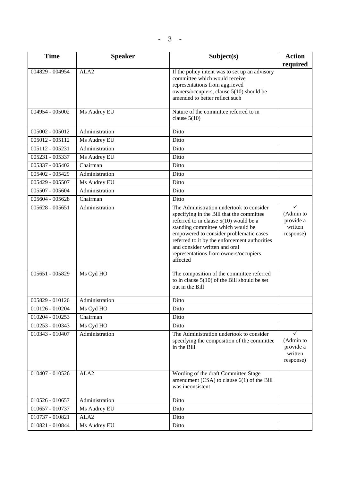| <b>Time</b>       | <b>Speaker</b>   | Subject(s)                                                                                                                                                                                                                                                                                                                                               | <b>Action</b>                                                  |
|-------------------|------------------|----------------------------------------------------------------------------------------------------------------------------------------------------------------------------------------------------------------------------------------------------------------------------------------------------------------------------------------------------------|----------------------------------------------------------------|
| 004829 - 004954   | ALA <sub>2</sub> | If the policy intent was to set up an advisory<br>committee which would receive<br>representations from aggrieved<br>owners/occupiers, clause 5(10) should be<br>amended to better reflect such                                                                                                                                                          | required                                                       |
| 004954 - 005002   | Ms Audrey EU     | Nature of the committee referred to in<br>clause $5(10)$                                                                                                                                                                                                                                                                                                 |                                                                |
| $005002 - 005012$ | Administration   | Ditto                                                                                                                                                                                                                                                                                                                                                    |                                                                |
| 005012 - 005112   | Ms Audrey EU     | Ditto                                                                                                                                                                                                                                                                                                                                                    |                                                                |
| 005112 - 005231   | Administration   | Ditto                                                                                                                                                                                                                                                                                                                                                    |                                                                |
| 005231 - 005337   | Ms Audrey EU     | Ditto                                                                                                                                                                                                                                                                                                                                                    |                                                                |
| 005337 - 005402   | Chairman         | Ditto                                                                                                                                                                                                                                                                                                                                                    |                                                                |
| 005402 - 005429   | Administration   | Ditto                                                                                                                                                                                                                                                                                                                                                    |                                                                |
| 005429 - 005507   | Ms Audrey EU     | Ditto                                                                                                                                                                                                                                                                                                                                                    |                                                                |
| 005507 - 005604   | Administration   | Ditto                                                                                                                                                                                                                                                                                                                                                    |                                                                |
| 005604 - 005628   | Chairman         | Ditto                                                                                                                                                                                                                                                                                                                                                    |                                                                |
| $005628 - 005651$ | Administration   | The Administration undertook to consider<br>specifying in the Bill that the committee<br>referred to in clause $5(10)$ would be a<br>standing committee which would be<br>empowered to consider problematic cases<br>referred to it by the enforcement authorities<br>and consider written and oral<br>representations from owners/occupiers<br>affected | $\checkmark$<br>(Admin to<br>provide a<br>written<br>response) |
| 005651 - 005829   | Ms Cyd HO        | The composition of the committee referred<br>to in clause $5(10)$ of the Bill should be set<br>out in the Bill                                                                                                                                                                                                                                           |                                                                |
| 005829 - 010126   | Administration   | Ditto                                                                                                                                                                                                                                                                                                                                                    |                                                                |
| 010126 - 010204   | Ms Cyd HO        | Ditto                                                                                                                                                                                                                                                                                                                                                    |                                                                |
| 010204 - 010253   | Chairman         | Ditto                                                                                                                                                                                                                                                                                                                                                    |                                                                |
| 010253 - 010343   | Ms Cyd HO        | Ditto                                                                                                                                                                                                                                                                                                                                                    |                                                                |
| 010343 - 010407   | Administration   | The Administration undertook to consider<br>specifying the composition of the committee<br>in the Bill                                                                                                                                                                                                                                                   | $\checkmark$<br>(Admin to<br>provide a<br>written<br>response) |
| 010407 - 010526   | ALA <sub>2</sub> | Wording of the draft Committee Stage<br>amendment $(CSA)$ to clause $6(1)$ of the Bill<br>was inconsistent                                                                                                                                                                                                                                               |                                                                |
| 010526 - 010657   | Administration   | Ditto                                                                                                                                                                                                                                                                                                                                                    |                                                                |
| 010657 - 010737   | Ms Audrey EU     | Ditto                                                                                                                                                                                                                                                                                                                                                    |                                                                |
| 010737 - 010821   | ALA <sub>2</sub> | Ditto                                                                                                                                                                                                                                                                                                                                                    |                                                                |
| 010821 - 010844   | Ms Audrey EU     | Ditto                                                                                                                                                                                                                                                                                                                                                    |                                                                |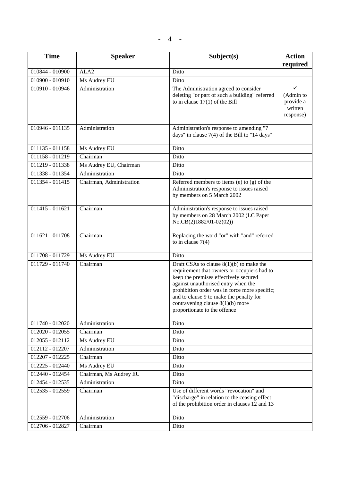| <b>Time</b>       | <b>Speaker</b>           | Subject(s)                                                                                                                                                                                                                                                                                                                                  | <b>Action</b><br>required                                      |
|-------------------|--------------------------|---------------------------------------------------------------------------------------------------------------------------------------------------------------------------------------------------------------------------------------------------------------------------------------------------------------------------------------------|----------------------------------------------------------------|
| 010844 - 010900   | ALA <sub>2</sub>         | Ditto                                                                                                                                                                                                                                                                                                                                       |                                                                |
| 010900 - 010910   | Ms Audrey EU             | Ditto                                                                                                                                                                                                                                                                                                                                       |                                                                |
| 010910 - 010946   | Administration           | The Administration agreed to consider<br>deleting "or part of such a building" referred<br>to in clause $17(1)$ of the Bill                                                                                                                                                                                                                 | $\checkmark$<br>(Admin to<br>provide a<br>written<br>response) |
| 010946 - 011135   | Administration           | Administration's response to amending "7<br>days" in clause $7(4)$ of the Bill to "14 days"                                                                                                                                                                                                                                                 |                                                                |
| $011135 - 011158$ | Ms Audrey EU             | Ditto                                                                                                                                                                                                                                                                                                                                       |                                                                |
| 011158 - 011219   | Chairman                 | Ditto                                                                                                                                                                                                                                                                                                                                       |                                                                |
| 011219 - 011338   | Ms Audrey EU, Chairman   | Ditto                                                                                                                                                                                                                                                                                                                                       |                                                                |
| 011338 - 011354   | Administration           | Ditto                                                                                                                                                                                                                                                                                                                                       |                                                                |
| 011354 - 011415   | Chairman, Administration | Referred members to items $(e)$ to $(g)$ of the<br>Administration's response to issues raised<br>by members on 5 March 2002                                                                                                                                                                                                                 |                                                                |
| $011415 - 011621$ | Chairman                 | Administration's response to issues raised<br>by members on 28 March 2002 (LC Paper<br>No.CB(2)1882/01-02(02))                                                                                                                                                                                                                              |                                                                |
| 011621 - 011708   | Chairman                 | Replacing the word "or" with "and" referred<br>to in clause $7(4)$                                                                                                                                                                                                                                                                          |                                                                |
| 011708 - 011729   | Ms Audrey EU             | Ditto                                                                                                                                                                                                                                                                                                                                       |                                                                |
| 011729 - 011740   | Chairman                 | Draft CSAs to clause $8(1)(b)$ to make the<br>requirement that owners or occupiers had to<br>keep the premises effectively secured<br>against unauthorised entry when the<br>prohibition order was in force more specific;<br>and to clause 9 to make the penalty for<br>contravening clause $8(1)(b)$ more<br>proportionate to the offence |                                                                |
| 011740 - 012020   | Administration           | Ditto                                                                                                                                                                                                                                                                                                                                       |                                                                |
| 012020 - 012055   | Chairman                 | Ditto                                                                                                                                                                                                                                                                                                                                       |                                                                |
| 012055 - 012112   | Ms Audrey EU             | Ditto                                                                                                                                                                                                                                                                                                                                       |                                                                |
| 012112 - 012207   | Administration           | Ditto                                                                                                                                                                                                                                                                                                                                       |                                                                |
| 012207 - 012225   | Chairman                 | Ditto                                                                                                                                                                                                                                                                                                                                       |                                                                |
| 012225 - 012440   | Ms Audrey EU             | Ditto                                                                                                                                                                                                                                                                                                                                       |                                                                |
| 012440 - 012454   | Chairman, Ms Audrey EU   | Ditto                                                                                                                                                                                                                                                                                                                                       |                                                                |
| 012454 - 012535   | Administration           | Ditto                                                                                                                                                                                                                                                                                                                                       |                                                                |
| 012535 - 012559   | Chairman                 | Use of different words "revocation" and<br>"discharge" in relation to the ceasing effect<br>of the prohibition order in clauses 12 and 13                                                                                                                                                                                                   |                                                                |
| 012559 - 012706   | Administration           | Ditto                                                                                                                                                                                                                                                                                                                                       |                                                                |
| 012706 - 012827   | Chairman                 | Ditto                                                                                                                                                                                                                                                                                                                                       |                                                                |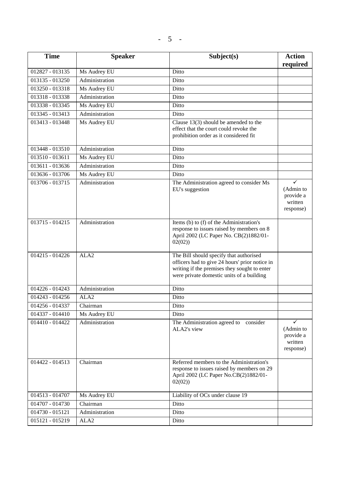| <b>Time</b>       | <b>Speaker</b>   | Subject(s)                                                                                                                                                                             | <b>Action</b><br>required                                      |
|-------------------|------------------|----------------------------------------------------------------------------------------------------------------------------------------------------------------------------------------|----------------------------------------------------------------|
| $012827 - 013135$ | Ms Audrey EU     | Ditto                                                                                                                                                                                  |                                                                |
| 013135 - 013250   | Administration   | Ditto                                                                                                                                                                                  |                                                                |
| 013250 - 013318   | Ms Audrey EU     | Ditto                                                                                                                                                                                  |                                                                |
| 013318 - 013338   | Administration   | Ditto                                                                                                                                                                                  |                                                                |
| 013338 - 013345   | Ms Audrey EU     | Ditto                                                                                                                                                                                  |                                                                |
| 013345 - 013413   | Administration   | Ditto                                                                                                                                                                                  |                                                                |
| 013413 - 013448   | Ms Audrey EU     | Clause $13(3)$ should be amended to the<br>effect that the court could revoke the<br>prohibition order as it considered fit                                                            |                                                                |
| 013448 - 013510   | Administration   | Ditto                                                                                                                                                                                  |                                                                |
| 013510 - 013611   | Ms Audrey EU     | Ditto                                                                                                                                                                                  |                                                                |
| 013611 - 013636   | Administration   | Ditto                                                                                                                                                                                  |                                                                |
| 013636 - 013706   | Ms Audrey EU     | Ditto                                                                                                                                                                                  |                                                                |
| 013706 - 013715   | Administration   | The Administration agreed to consider Ms<br>EU's suggestion                                                                                                                            | $\checkmark$<br>(Admin to<br>provide a<br>written<br>response) |
| 013715 - 014215   | Administration   | Items (b) to (f) of the Administration's<br>response to issues raised by members on 8<br>April 2002 (LC Paper No. CB(2)1882/01-<br>02(02)                                              |                                                                |
| 014215 - 014226   | ALA <sub>2</sub> | The Bill should specify that authorised<br>officers had to give 24 hours' prior notice in<br>writing if the premises they sought to enter<br>were private domestic units of a building |                                                                |
| 014226 - 014243   | Administration   | Ditto                                                                                                                                                                                  |                                                                |
| 014243 - 014256   | ALA <sub>2</sub> | Ditto                                                                                                                                                                                  |                                                                |
| $014256 - 014337$ | Chairman         | Ditto                                                                                                                                                                                  |                                                                |
| 014337 - 014410   | Ms Audrey EU     | Ditto                                                                                                                                                                                  |                                                                |
| 014410 - 014422   | Administration   | The Administration agreed to consider<br>ALA2's view                                                                                                                                   | (Admin to<br>provide a<br>written<br>response)                 |
| 014422 - 014513   | Chairman         | Referred members to the Administration's<br>response to issues raised by members on 29<br>April 2002 (LC Paper No.CB(2)1882/01-<br>02(02)                                              |                                                                |
| 014513 - 014707   | Ms Audrey EU     | Liability of OCs under clause 19                                                                                                                                                       |                                                                |
| 014707 - 014730   | Chairman         | Ditto                                                                                                                                                                                  |                                                                |
| 014730 - 015121   | Administration   | Ditto                                                                                                                                                                                  |                                                                |
| 015121 - 015219   | ALA <sub>2</sub> | Ditto                                                                                                                                                                                  |                                                                |